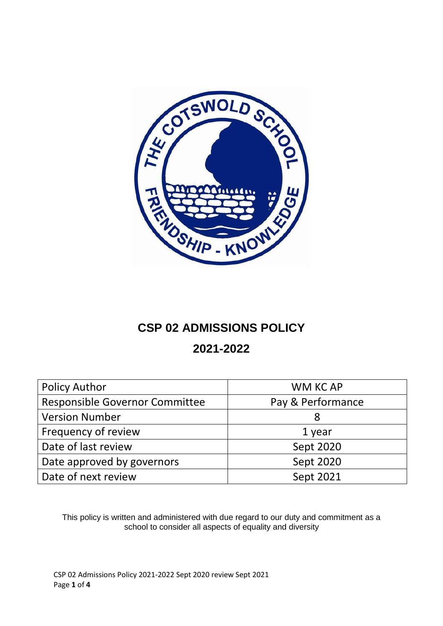

## **CSP 02 ADMISSIONS POLICY**

## **2021-2022**

| <b>Policy Author</b>                  | WM KC AP          |
|---------------------------------------|-------------------|
| <b>Responsible Governor Committee</b> | Pay & Performance |
| <b>Version Number</b>                 | 8                 |
| Frequency of review                   | 1 year            |
| Date of last review                   | Sept 2020         |
| Date approved by governors            | Sept 2020         |
| Date of next review                   | Sept 2021         |

This policy is written and administered with due regard to our duty and commitment as a school to consider all aspects of equality and diversity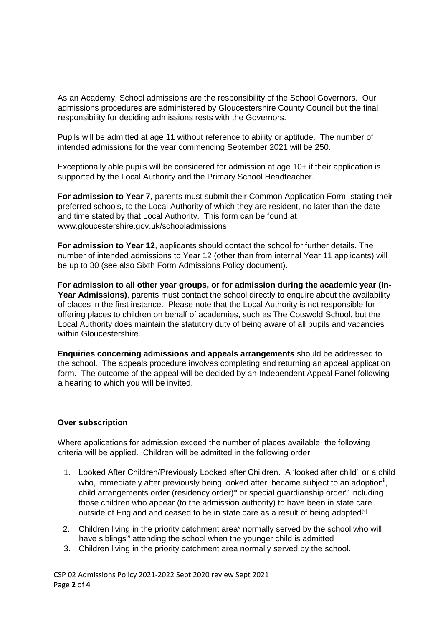As an Academy, School admissions are the responsibility of the School Governors. Our admissions procedures are administered by Gloucestershire County Council but the final responsibility for deciding admissions rests with the Governors.

Pupils will be admitted at age 11 without reference to ability or aptitude. The number of intended admissions for the year commencing September 2021 will be 250.

Exceptionally able pupils will be considered for admission at age 10+ if their application is supported by the Local Authority and the Primary School Headteacher.

**For admission to Year 7**, parents must submit their Common Application Form, stating their preferred schools, to the Local Authority of which they are resident, no later than the date and time stated by that Local Authority. This form can be found at [www.gloucestershire.gov.uk/schooladmissions](http://www.gloucestershire.gov.uk/schooladmissions)

**For admission to Year 12**, applicants should contact the school for further details. The number of intended admissions to Year 12 (other than from internal Year 11 applicants) will be up to 30 (see also Sixth Form Admissions Policy document).

**For admission to all other year groups, or for admission during the academic year (In-**Year Admissions), parents must contact the school directly to enquire about the availability of places in the first instance. Please note that the Local Authority is not responsible for offering places to children on behalf of academies, such as The Cotswold School, but the Local Authority does maintain the statutory duty of being aware of all pupils and vacancies within Gloucestershire.

**Enquiries concerning admissions and appeals arrangements** should be addressed to the school. The appeals procedure involves completing and returning an appeal application form. The outcome of the appeal will be decided by an Independent Appeal Panel following a hearing to which you will be invited.

## **Over subscription**

Where applications for admission exceed the number of places available, the following criteria will be applied. Children will be admitted in the following order:

- 1. Looked After Children/Previously Looked after Children. A 'looked after child'<sup>i</sup> or a child who, immediately after previously being looked after, became subject to an adoption<sup>ii</sup>, child arrangements order (residency order)<sup>iii</sup> or special guardianship order<sup>iv</sup> including those children who appear (to the admission authority) to have been in state care outside of England and ceased to be in state care as a result of being adopted<sup>[v]</sup>
- 2. Children living in the priority catchment area<sup> $\vee$ </sup> normally served by the school who will have siblings<sup>vi</sup> attending the school when the younger child is admitted
- 3. Children living in the priority catchment area normally served by the school.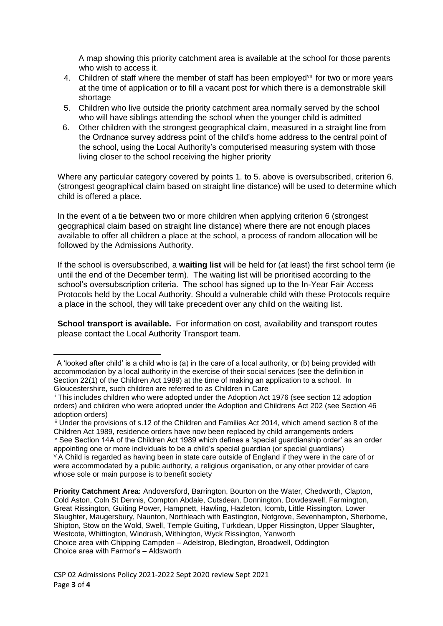A map showing this priority catchment area is available at the school for those parents who wish to access it.

- 4. Children of staff where the member of staff has been employed<sup>vii</sup> for two or more years at the time of application or to fill a vacant post for which there is a demonstrable skill shortage
- 5. Children who live outside the priority catchment area normally served by the school who will have siblings attending the school when the younger child is admitted
- 6. Other children with the strongest geographical claim, measured in a straight line from the Ordnance survey address point of the child's home address to the central point of the school, using the Local Authority's computerised measuring system with those living closer to the school receiving the higher priority

Where any particular category covered by points 1. to 5. above is oversubscribed, criterion 6. (strongest geographical claim based on straight line distance) will be used to determine which child is offered a place.

In the event of a tie between two or more children when applying criterion 6 (strongest geographical claim based on straight line distance) where there are not enough places available to offer all children a place at the school, a process of random allocation will be followed by the Admissions Authority.

If the school is oversubscribed, a **waiting list** will be held for (at least) the first school term (ie until the end of the December term). The waiting list will be prioritised according to the school's oversubscription criteria. The school has signed up to the In-Year Fair Access Protocols held by the Local Authority. Should a vulnerable child with these Protocols require a place in the school, they will take precedent over any child on the waiting list.

**School transport is available.** For information on cost, availability and transport routes please contact the Local Authority Transport team.

**Priority Catchment Area:** Andoversford, Barrington, Bourton on the Water, Chedworth, Clapton, Cold Aston, Coln St Dennis, Compton Abdale, Cutsdean, Donnington, Dowdeswell, Farmington, Great Rissington, Guiting Power, Hampnett, Hawling, Hazleton, Icomb, Little Rissington, Lower Slaughter, Maugersbury, Naunton, Northleach with Eastington, Notgrove, Sevenhampton, Sherborne, Shipton, Stow on the Wold, Swell, Temple Guiting, Turkdean, Upper Rissington, Upper Slaughter, Westcote, Whittington, Windrush, Withington, Wyck Rissington, Yanworth Choice area with Chipping Campden – Adelstrop, Bledington, Broadwell, Oddington Choice area with Farmor's – Aldsworth

**.** 

 $\mathbf{A}$  'looked after child' is a child who is (a) in the care of a local authority, or (b) being provided with accommodation by a local authority in the exercise of their social services (see the definition in Section 22(1) of the Children Act 1989) at the time of making an application to a school. In Gloucestershire, such children are referred to as Children in Care

ii This includes children who were adopted under the Adoption Act 1976 (see section 12 adoption orders) and children who were adopted under the Adoption and Childrens Act 202 (see Section 46 adoption orders)

iii Under the provisions of s.12 of the Children and Families Act 2014, which amend section 8 of the Children Act 1989, residence orders have now been replaced by child arrangements orders iv See Section 14A of the Children Act 1989 which defines a 'special guardianship order' as an order appointing one or more individuals to be a child's special guardian (or special guardians)  $V$  A Child is regarded as having been in state care outside of England if they were in the care of or were accommodated by a public authority, a religious organisation, or any other provider of care whose sole or main purpose is to benefit society